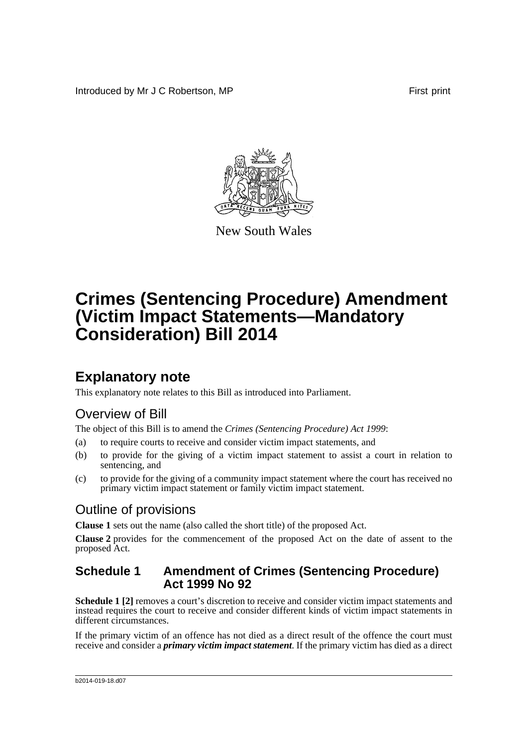Introduced by Mr J C Robertson, MP **First** print



New South Wales

# **Crimes (Sentencing Procedure) Amendment (Victim Impact Statements—Mandatory Consideration) Bill 2014**

## **Explanatory note**

This explanatory note relates to this Bill as introduced into Parliament.

## Overview of Bill

The object of this Bill is to amend the *Crimes (Sentencing Procedure) Act 1999*:

- (a) to require courts to receive and consider victim impact statements, and
- (b) to provide for the giving of a victim impact statement to assist a court in relation to sentencing, and
- (c) to provide for the giving of a community impact statement where the court has received no primary victim impact statement or family victim impact statement.

### Outline of provisions

**Clause 1** sets out the name (also called the short title) of the proposed Act.

**Clause 2** provides for the commencement of the proposed Act on the date of assent to the proposed Act.

#### **Schedule 1 Amendment of Crimes (Sentencing Procedure) Act 1999 No 92**

**Schedule 1** [2] removes a court's discretion to receive and consider victim impact statements and instead requires the court to receive and consider different kinds of victim impact statements in different circumstances.

If the primary victim of an offence has not died as a direct result of the offence the court must receive and consider a *primary victim impact statement*. If the primary victim has died as a direct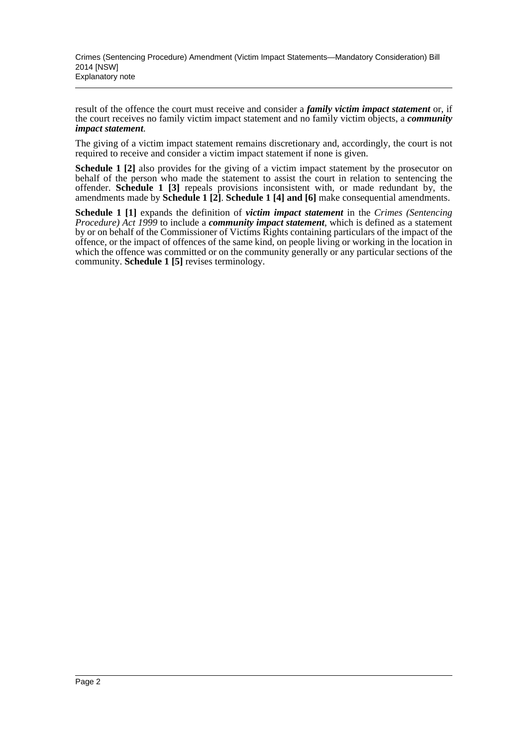result of the offence the court must receive and consider a *family victim impact statement* or, if the court receives no family victim impact statement and no family victim objects, a *community impact statement*.

The giving of a victim impact statement remains discretionary and, accordingly, the court is not required to receive and consider a victim impact statement if none is given.

**Schedule 1 [2]** also provides for the giving of a victim impact statement by the prosecutor on behalf of the person who made the statement to assist the court in relation to sentencing the offender. **Schedule 1 [3]** repeals provisions inconsistent with, or made redundant by, the amendments made by **Schedule 1 [2]**. **Schedule 1 [4] and [6]** make consequential amendments.

**Schedule 1 [1]** expands the definition of *victim impact statement* in the *Crimes (Sentencing Procedure) Act 1999* to include a *community impact statement*, which is defined as a statement by or on behalf of the Commissioner of Victims Rights containing particulars of the impact of the offence, or the impact of offences of the same kind, on people living or working in the location in which the offence was committed or on the community generally or any particular sections of the community. **Schedule 1 [5]** revises terminology.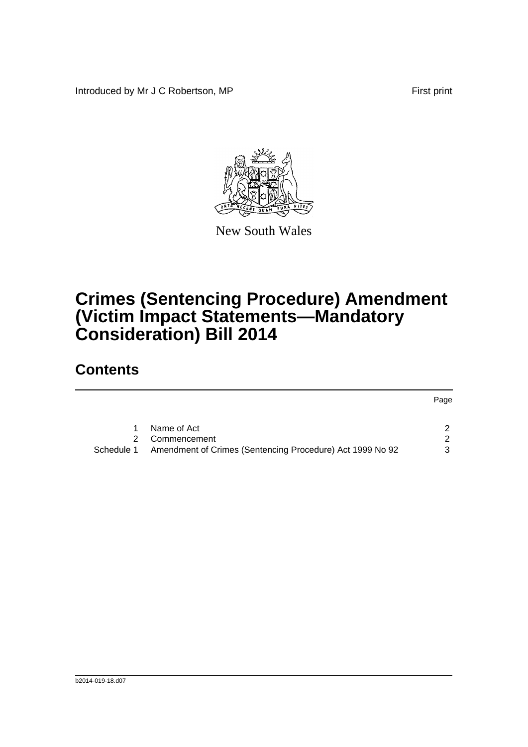Introduced by Mr J C Robertson, MP First print



New South Wales

# **Crimes (Sentencing Procedure) Amendment (Victim Impact Statements—Mandatory Consideration) Bill 2014**

## **Contents**

|            |                                                           | Page          |
|------------|-----------------------------------------------------------|---------------|
|            | Name of Act                                               |               |
|            | Commencement                                              | $\mathcal{P}$ |
| Schedule 1 | Amendment of Crimes (Sentencing Procedure) Act 1999 No 92 | 3             |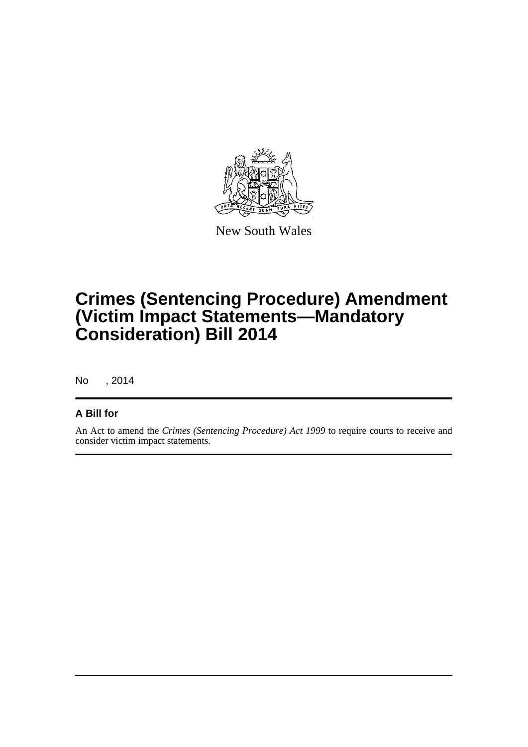

New South Wales

## **Crimes (Sentencing Procedure) Amendment (Victim Impact Statements—Mandatory Consideration) Bill 2014**

No , 2014

#### **A Bill for**

An Act to amend the *Crimes (Sentencing Procedure) Act 1999* to require courts to receive and consider victim impact statements.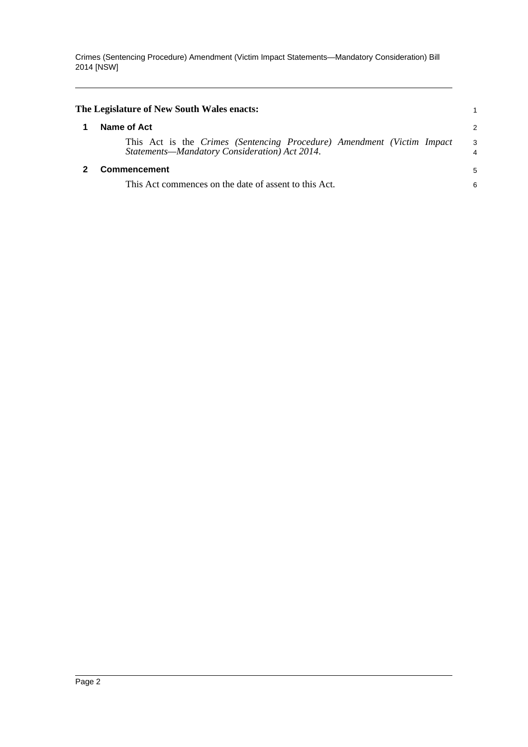Crimes (Sentencing Procedure) Amendment (Victim Impact Statements—Mandatory Consideration) Bill 2014 [NSW]

<span id="page-4-1"></span><span id="page-4-0"></span>

| The Legislature of New South Wales enacts:                                                                              |         |
|-------------------------------------------------------------------------------------------------------------------------|---------|
| Name of Act                                                                                                             | 2       |
| This Act is the Crimes (Sentencing Procedure) Amendment (Victim Impact<br>Statements-Mandatory Consideration) Act 2014. | -3<br>4 |
| <b>Commencement</b>                                                                                                     | 5       |
| This Act commences on the date of assent to this Act.                                                                   | 6       |
|                                                                                                                         |         |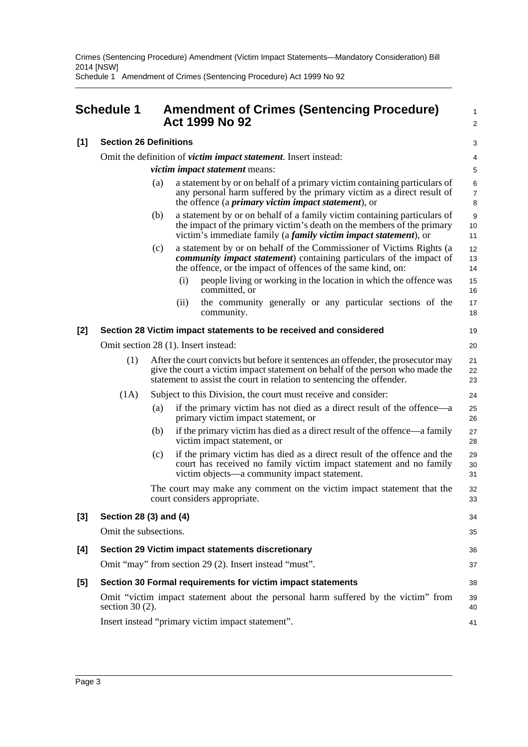Crimes (Sentencing Procedure) Amendment (Victim Impact Statements—Mandatory Consideration) Bill 2014 [NSW]

Schedule 1 Amendment of Crimes (Sentencing Procedure) Act 1999 No 92

<span id="page-5-0"></span>

|       | <b>Schedule 1</b>                                                                                        |                                                                                                                                                                                                                                                              |      | <b>Amendment of Crimes (Sentencing Procedure)</b><br><b>Act 1999 No 92</b>                                                                                                                                                     | 1<br>$\overline{a}$      |  |  |
|-------|----------------------------------------------------------------------------------------------------------|--------------------------------------------------------------------------------------------------------------------------------------------------------------------------------------------------------------------------------------------------------------|------|--------------------------------------------------------------------------------------------------------------------------------------------------------------------------------------------------------------------------------|--------------------------|--|--|
| $[1]$ | <b>Section 26 Definitions</b>                                                                            |                                                                                                                                                                                                                                                              |      |                                                                                                                                                                                                                                |                          |  |  |
|       | Omit the definition of <i>victim impact statement</i> . Insert instead:                                  |                                                                                                                                                                                                                                                              |      |                                                                                                                                                                                                                                |                          |  |  |
|       | <i>victim impact statement</i> means:                                                                    |                                                                                                                                                                                                                                                              |      |                                                                                                                                                                                                                                |                          |  |  |
|       |                                                                                                          | (a)                                                                                                                                                                                                                                                          |      | a statement by or on behalf of a primary victim containing particulars of<br>any personal harm suffered by the primary victim as a direct result of<br>the offence (a <i>primary victim impact statement</i> ), or             | 6<br>$\overline{7}$<br>8 |  |  |
|       |                                                                                                          | (b)                                                                                                                                                                                                                                                          |      | a statement by or on behalf of a family victim containing particulars of<br>the impact of the primary victim's death on the members of the primary<br>victim's immediate family (a <i>family victim impact statement</i> ), or | 9<br>10<br>11            |  |  |
|       |                                                                                                          | (c)                                                                                                                                                                                                                                                          |      | a statement by or on behalf of the Commissioner of Victims Rights (a<br><i>community impact statement</i> ) containing particulars of the impact of<br>the offence, or the impact of offences of the same kind, on:            | 12<br>13<br>14           |  |  |
|       |                                                                                                          |                                                                                                                                                                                                                                                              | (i)  | people living or working in the location in which the offence was<br>committed, or                                                                                                                                             | 15<br>16                 |  |  |
|       |                                                                                                          |                                                                                                                                                                                                                                                              | (ii) | the community generally or any particular sections of the<br>community.                                                                                                                                                        | 17<br>18                 |  |  |
| [2]   | Section 28 Victim impact statements to be received and considered                                        |                                                                                                                                                                                                                                                              |      |                                                                                                                                                                                                                                |                          |  |  |
|       | Omit section 28 (1). Insert instead:                                                                     |                                                                                                                                                                                                                                                              |      |                                                                                                                                                                                                                                |                          |  |  |
|       | (1)                                                                                                      | After the court convicts but before it sentences an offender, the prosecutor may<br>21<br>give the court a victim impact statement on behalf of the person who made the<br>22<br>statement to assist the court in relation to sentencing the offender.<br>23 |      |                                                                                                                                                                                                                                |                          |  |  |
|       | (1A)                                                                                                     | Subject to this Division, the court must receive and consider:                                                                                                                                                                                               |      |                                                                                                                                                                                                                                |                          |  |  |
|       |                                                                                                          | (a)                                                                                                                                                                                                                                                          |      | if the primary victim has not died as a direct result of the offence—a<br>primary victim impact statement, or                                                                                                                  | 25<br>26                 |  |  |
|       |                                                                                                          | (b)                                                                                                                                                                                                                                                          |      | if the primary victim has died as a direct result of the offence—a family<br>victim impact statement, or                                                                                                                       | 27<br>28                 |  |  |
|       |                                                                                                          | (c)                                                                                                                                                                                                                                                          |      | if the primary victim has died as a direct result of the offence and the<br>court has received no family victim impact statement and no family<br>victim objects—a community impact statement.                                 | 29<br>30<br>31           |  |  |
|       |                                                                                                          |                                                                                                                                                                                                                                                              |      | The court may make any comment on the victim impact statement that the<br>court considers appropriate.                                                                                                                         | 32<br>33                 |  |  |
| [3]   | Section 28 (3) and (4)                                                                                   |                                                                                                                                                                                                                                                              |      |                                                                                                                                                                                                                                |                          |  |  |
|       | Omit the subsections.                                                                                    |                                                                                                                                                                                                                                                              |      |                                                                                                                                                                                                                                |                          |  |  |
| [4]   | Section 29 Victim impact statements discretionary                                                        |                                                                                                                                                                                                                                                              |      |                                                                                                                                                                                                                                |                          |  |  |
|       | Omit "may" from section 29 (2). Insert instead "must".                                                   |                                                                                                                                                                                                                                                              |      |                                                                                                                                                                                                                                |                          |  |  |
| [5]   | Section 30 Formal requirements for victim impact statements                                              |                                                                                                                                                                                                                                                              |      |                                                                                                                                                                                                                                |                          |  |  |
|       | Omit "victim impact statement about the personal harm suffered by the victim" from<br>section 30 $(2)$ . |                                                                                                                                                                                                                                                              |      |                                                                                                                                                                                                                                |                          |  |  |
|       | Insert instead "primary victim impact statement".                                                        |                                                                                                                                                                                                                                                              |      |                                                                                                                                                                                                                                |                          |  |  |